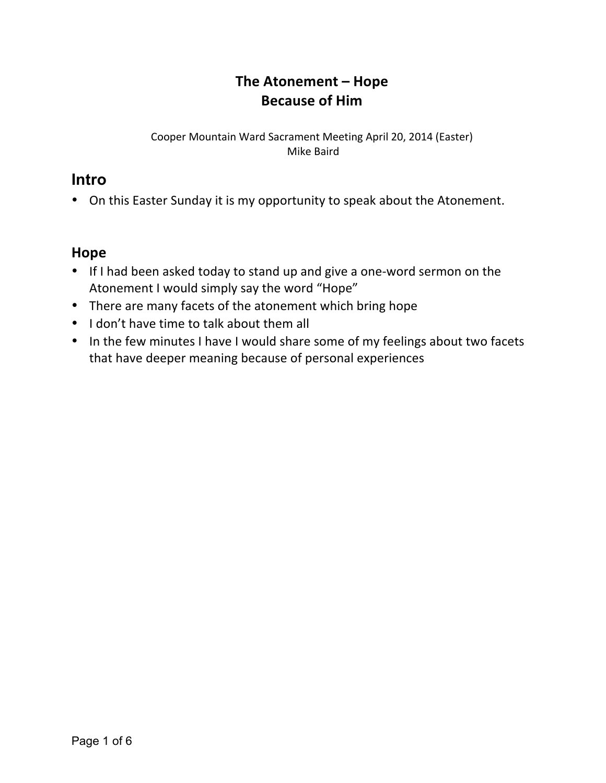# **The Atonement – Hope Because of Him**

#### Cooper Mountain Ward Sacrament Meeting April 20, 2014 (Easter) Mike Baird

## **Intro**

• On this Easter Sunday it is my opportunity to speak about the Atonement.

## **Hope**

- If I had been asked today to stand up and give a one-word sermon on the Atonement I would simply say the word "Hope"
- There are many facets of the atonement which bring hope
- I don't have time to talk about them all
- In the few minutes I have I would share some of my feelings about two facets that have deeper meaning because of personal experiences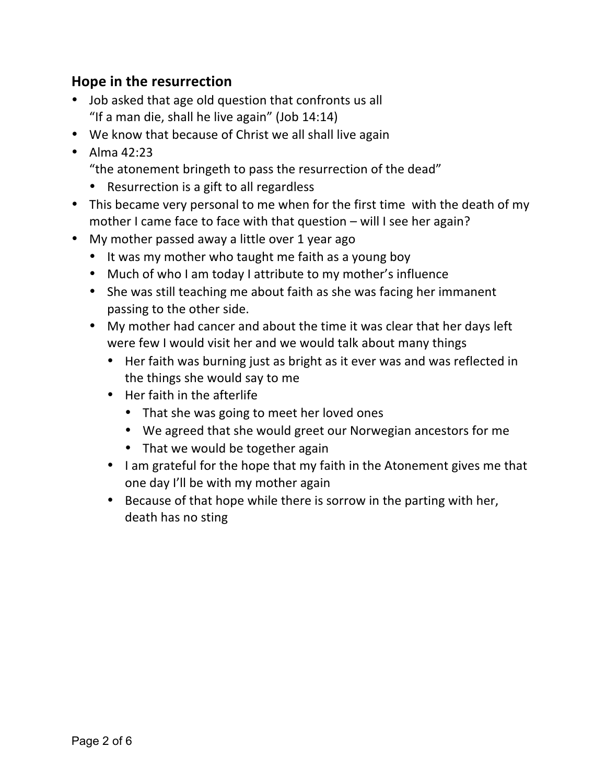## **Hope in the resurrection**

- Job asked that age old question that confronts us all "If a man die, shall he live again" (Job  $14:14$ )
- We know that because of Christ we all shall live again
- Alma  $42:23$ 
	- "the atonement bringeth to pass the resurrection of the dead"
	- Resurrection is a gift to all regardless
- This became very personal to me when for the first time with the death of my mother I came face to face with that question  $-$  will I see her again?
- My mother passed away a little over 1 year ago
	- It was my mother who taught me faith as a young boy
	- Much of who I am today I attribute to my mother's influence
	- She was still teaching me about faith as she was facing her immanent passing to the other side.
	- My mother had cancer and about the time it was clear that her days left were few I would visit her and we would talk about many things
		- Her faith was burning just as bright as it ever was and was reflected in the things she would say to me
		- $\bullet$  Her faith in the afterlife
			- That she was going to meet her loved ones
			- We agreed that she would greet our Norwegian ancestors for me
			- That we would be together again
		- I am grateful for the hope that my faith in the Atonement gives me that one day I'll be with my mother again
		- Because of that hope while there is sorrow in the parting with her, death has no sting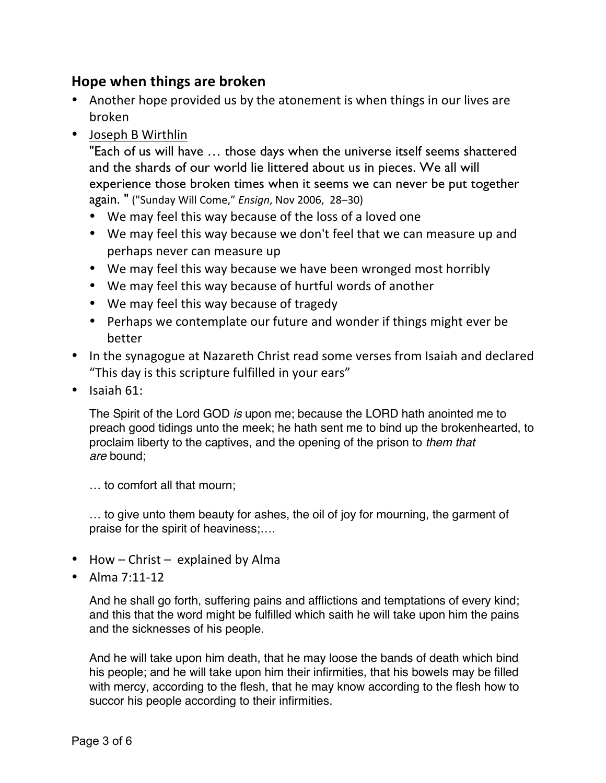## **Hope when things are broken**

- Another hope provided us by the atonement is when things in our lives are broken
- Joseph B Wirthlin

"Each of us will have … those days when the universe itself seems shattered and the shards of our world lie littered about us in pieces. We all will experience those broken times when it seems we can never be put together again. " ("Sunday Will Come," *Ensign*, Nov 2006, 28–30)

- We may feel this way because of the loss of a loved one
- We may feel this way because we don't feel that we can measure up and perhaps never can measure up
- We may feel this way because we have been wronged most horribly
- We may feel this way because of hurtful words of another
- We may feel this way because of tragedy
- Perhaps we contemplate our future and wonder if things might ever be better
- In the synagogue at Nazareth Christ read some verses from Isaiah and declared "This day is this scripture fulfilled in your ears"
- $\bullet$  Isaiah 61:

The Spirit of the Lord GOD *is* upon me; because the LORD hath anointed me to preach good tidings unto the meek; he hath sent me to bind up the brokenhearted, to proclaim liberty to the captives, and the opening of the prison to *them that are* bound;

… to comfort all that mourn;

… to give unto them beauty for ashes, the oil of joy for mourning, the garment of praise for the spirit of heaviness;….

- How  $-$  Christ  $-$  explained by Alma
- Alma  $7:11-12$

And he shall go forth, suffering pains and afflictions and temptations of every kind; and this that the word might be fulfilled which saith he will take upon him the pains and the sicknesses of his people.

And he will take upon him death, that he may loose the bands of death which bind his people; and he will take upon him their infirmities, that his bowels may be filled with mercy, according to the flesh, that he may know according to the flesh how to succor his people according to their infirmities.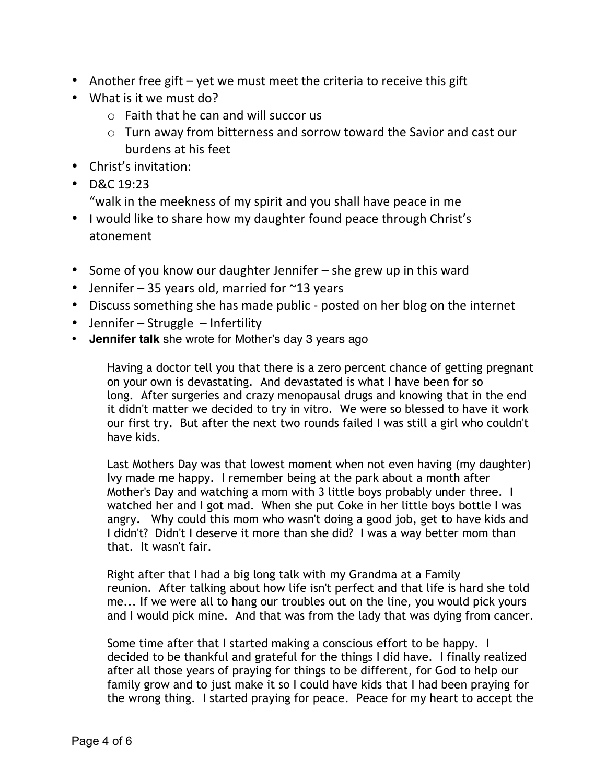- Another free gift  $-$  yet we must meet the criteria to receive this gift
- What is it we must do?
	- $\circ$  Faith that he can and will succor us
	- $\circ$  Turn away from bitterness and sorrow toward the Savior and cast our burdens at his feet
- Christ's invitation:
- D&C  $19:23$ 
	- "walk in the meekness of my spirit and you shall have peace in me
- I would like to share how my daughter found peace through Christ's atonement
- Some of you know our daughter Jennifer she grew up in this ward
- Jennifer  $-35$  years old, married for  $\sim$ 13 years
- Discuss something she has made public posted on her blog on the internet
- Jennifer Struggle Infertility
- **Jennifer talk** she wrote for Mother's day 3 years ago

Having a doctor tell you that there is a zero percent chance of getting pregnant on your own is devastating. And devastated is what I have been for so long. After surgeries and crazy menopausal drugs and knowing that in the end it didn't matter we decided to try in vitro. We were so blessed to have it work our first try. But after the next two rounds failed I was still a girl who couldn't have kids.

Last Mothers Day was that lowest moment when not even having (my daughter) Ivy made me happy. I remember being at the park about a month after Mother's Day and watching a mom with 3 little boys probably under three. I watched her and I got mad. When she put Coke in her little boys bottle I was angry. Why could this mom who wasn't doing a good job, get to have kids and I didn't? Didn't I deserve it more than she did? I was a way better mom than that. It wasn't fair.

Right after that I had a big long talk with my Grandma at a Family reunion. After talking about how life isn't perfect and that life is hard she told me... If we were all to hang our troubles out on the line, you would pick yours and I would pick mine. And that was from the lady that was dying from cancer.

Some time after that I started making a conscious effort to be happy. I decided to be thankful and grateful for the things I did have. I finally realized after all those years of praying for things to be different, for God to help our family grow and to just make it so I could have kids that I had been praying for the wrong thing. I started praying for peace. Peace for my heart to accept the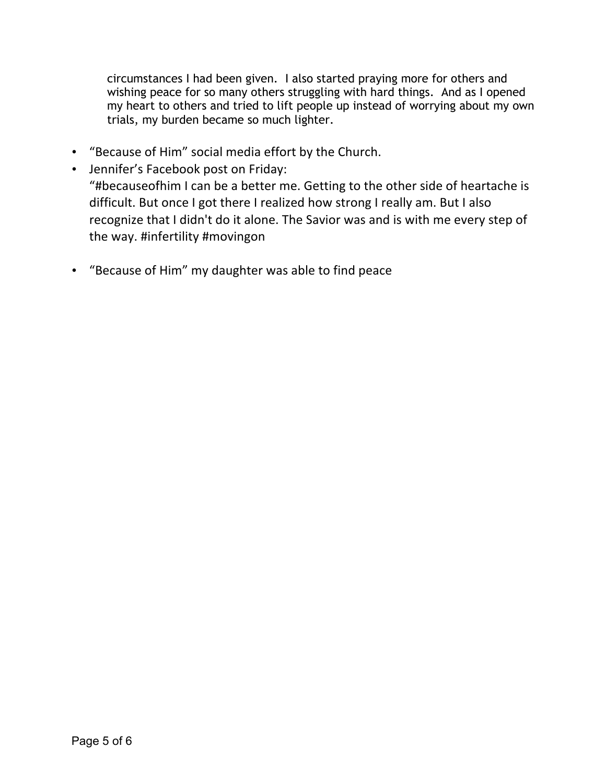circumstances I had been given. I also started praying more for others and wishing peace for so many others struggling with hard things. And as I opened my heart to others and tried to lift people up instead of worrying about my own trials, my burden became so much lighter.

- "Because of Him" social media effort by the Church.
- Jennifer's Facebook post on Friday: "#becauseofhim I can be a better me. Getting to the other side of heartache is difficult. But once I got there I realized how strong I really am. But I also recognize that I didn't do it alone. The Savior was and is with me every step of the way. #infertility #movingon
- "Because of Him" my daughter was able to find peace